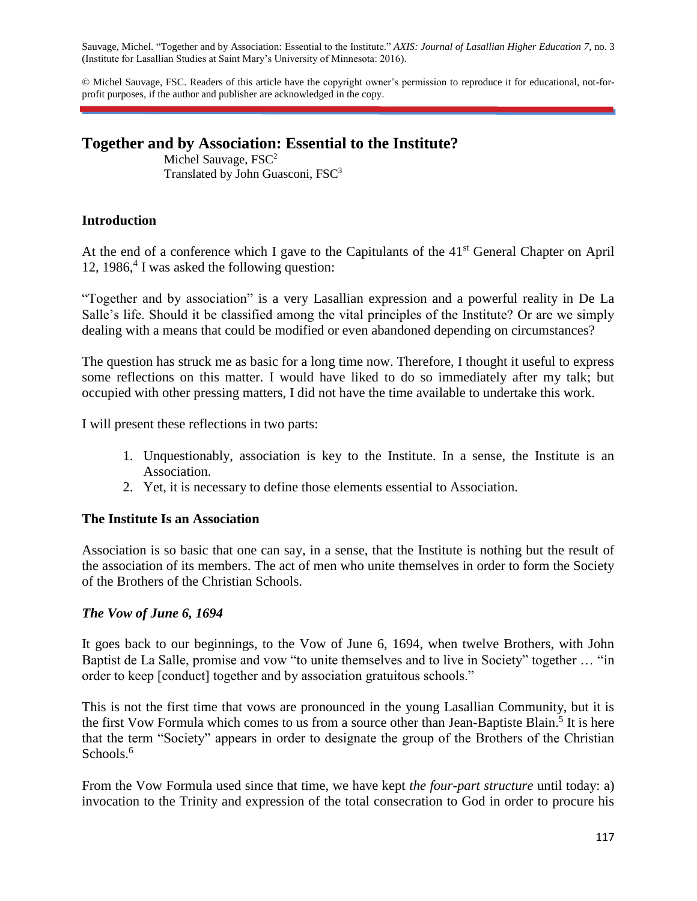Sauvage, Michel. "Together and by Association: Essential to the Institute." *AXIS: Journal of Lasallian Higher Education 7*, no. 3 (Institute for Lasallian Studies at Saint Mary's University of Minnesota: 2016).

© Michel Sauvage, FSC. Readers of this article have the copyright owner's permission to reproduce it for educational, not-forprofit purposes, if the author and publisher are acknowledged in the copy.

# **Together and by Association: Essential to the Institute?**

Michel Sauvage, FSC<sup>2</sup> Translated by John Guasconi, FSC<sup>3</sup>

### **Introduction**

At the end of a conference which I gave to the Capitulants of the 41<sup>st</sup> General Chapter on April 12, 1986,<sup>4</sup> I was asked the following question:

"Together and by association" is a very Lasallian expression and a powerful reality in De La Salle's life. Should it be classified among the vital principles of the Institute? Or are we simply dealing with a means that could be modified or even abandoned depending on circumstances?

The question has struck me as basic for a long time now. Therefore, I thought it useful to express some reflections on this matter. I would have liked to do so immediately after my talk; but occupied with other pressing matters, I did not have the time available to undertake this work.

I will present these reflections in two parts:

- 1. Unquestionably, association is key to the Institute. In a sense, the Institute is an Association.
- 2. Yet, it is necessary to define those elements essential to Association.

# **The Institute Is an Association**

Association is so basic that one can say, in a sense, that the Institute is nothing but the result of the association of its members. The act of men who unite themselves in order to form the Society of the Brothers of the Christian Schools.

#### *The Vow of June 6, 1694*

It goes back to our beginnings, to the Vow of June 6, 1694, when twelve Brothers, with John Baptist de La Salle, promise and vow "to unite themselves and to live in Society" together … "in order to keep [conduct] together and by association gratuitous schools."

This is not the first time that vows are pronounced in the young Lasallian Community, but it is the first Vow Formula which comes to us from a source other than Jean-Baptiste Blain.<sup>5</sup> It is here that the term "Society" appears in order to designate the group of the Brothers of the Christian Schools.<sup>6</sup>

From the Vow Formula used since that time, we have kept *the four-part structure* until today: a) invocation to the Trinity and expression of the total consecration to God in order to procure his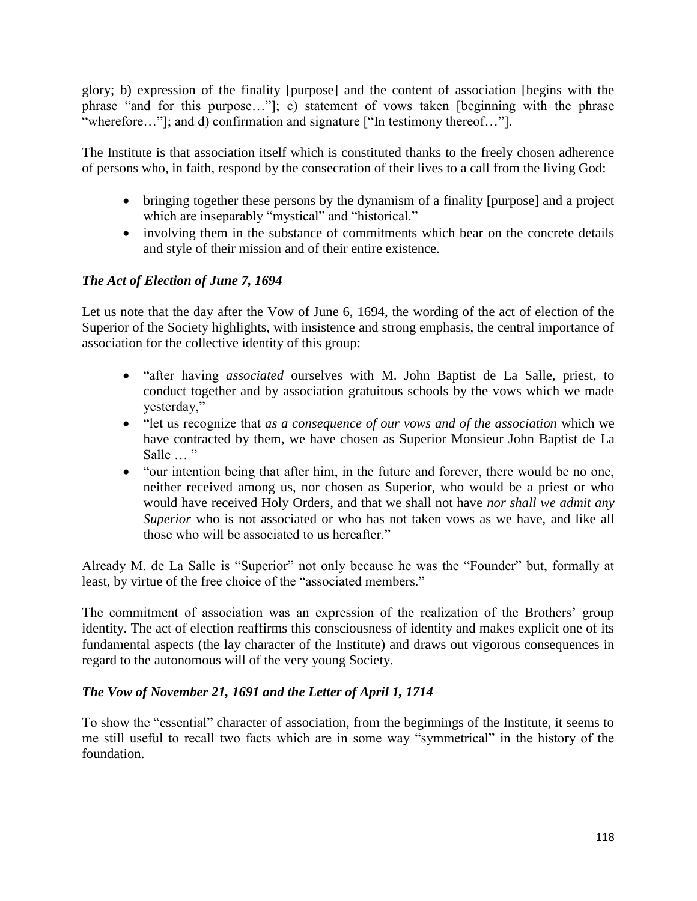glory; b) expression of the finality [purpose] and the content of association [begins with the phrase "and for this purpose…"]; c) statement of vows taken [beginning with the phrase "wherefore…"]; and d) confirmation and signature ["In testimony thereof…"].

The Institute is that association itself which is constituted thanks to the freely chosen adherence of persons who, in faith, respond by the consecration of their lives to a call from the living God:

- bringing together these persons by the dynamism of a finality [purpose] and a project which are inseparably "mystical" and "historical."
- involving them in the substance of commitments which bear on the concrete details and style of their mission and of their entire existence.

# *The Act of Election of June 7, 1694*

Let us note that the day after the Vow of June 6, 1694, the wording of the act of election of the Superior of the Society highlights, with insistence and strong emphasis, the central importance of association for the collective identity of this group:

- "after having *associated* ourselves with M. John Baptist de La Salle, priest, to conduct together and by association gratuitous schools by the vows which we made yesterday,"
- "let us recognize that *as a consequence of our vows and of the association* which we have contracted by them, we have chosen as Superior Monsieur John Baptist de La Salle ... "
- "our intention being that after him, in the future and forever, there would be no one, neither received among us, nor chosen as Superior, who would be a priest or who would have received Holy Orders, and that we shall not have *nor shall we admit any Superior* who is not associated or who has not taken vows as we have, and like all those who will be associated to us hereafter."

Already M. de La Salle is "Superior" not only because he was the "Founder" but, formally at least, by virtue of the free choice of the "associated members."

The commitment of association was an expression of the realization of the Brothers' group identity. The act of election reaffirms this consciousness of identity and makes explicit one of its fundamental aspects (the lay character of the Institute) and draws out vigorous consequences in regard to the autonomous will of the very young Society.

# *The Vow of November 21, 1691 and the Letter of April 1, 1714*

To show the "essential" character of association, from the beginnings of the Institute, it seems to me still useful to recall two facts which are in some way "symmetrical" in the history of the foundation.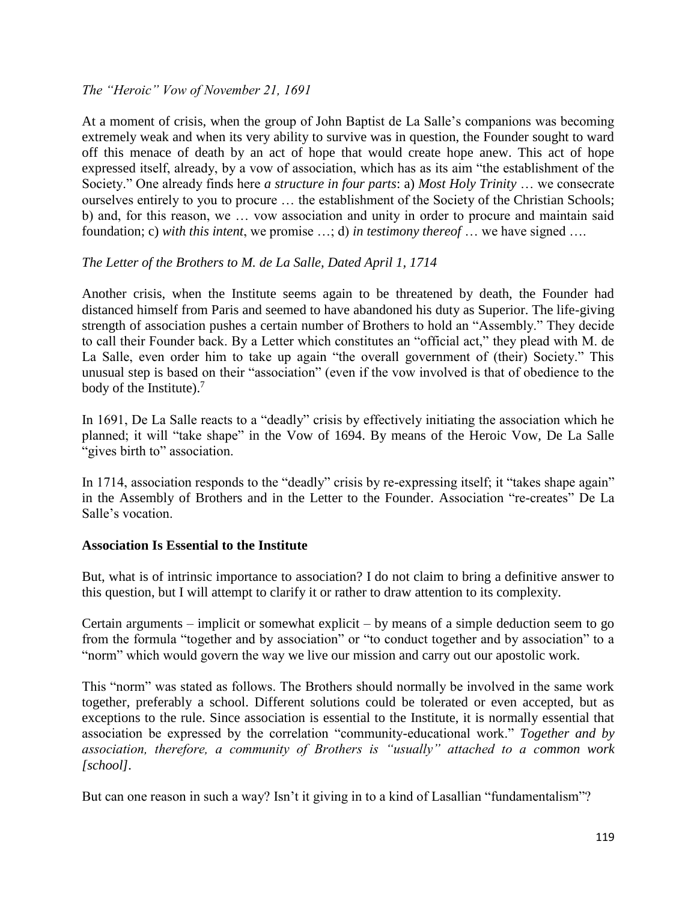### *The "Heroic" Vow of November 21, 1691*

At a moment of crisis, when the group of John Baptist de La Salle's companions was becoming extremely weak and when its very ability to survive was in question, the Founder sought to ward off this menace of death by an act of hope that would create hope anew. This act of hope expressed itself, already, by a vow of association, which has as its aim "the establishment of the Society." One already finds here *a structure in four parts*: a) *Most Holy Trinity* … we consecrate ourselves entirely to you to procure … the establishment of the Society of the Christian Schools; b) and, for this reason, we … vow association and unity in order to procure and maintain said foundation; c) *with this intent*, we promise …; d) *in testimony thereof* … we have signed ….

### *The Letter of the Brothers to M. de La Salle, Dated April 1, 1714*

Another crisis, when the Institute seems again to be threatened by death, the Founder had distanced himself from Paris and seemed to have abandoned his duty as Superior. The life-giving strength of association pushes a certain number of Brothers to hold an "Assembly." They decide to call their Founder back. By a Letter which constitutes an "official act," they plead with M. de La Salle, even order him to take up again "the overall government of (their) Society." This unusual step is based on their "association" (even if the vow involved is that of obedience to the body of the Institute).<sup>7</sup>

In 1691, De La Salle reacts to a "deadly" crisis by effectively initiating the association which he planned; it will "take shape" in the Vow of 1694. By means of the Heroic Vow, De La Salle "gives birth to" association.

In 1714, association responds to the "deadly" crisis by re-expressing itself; it "takes shape again" in the Assembly of Brothers and in the Letter to the Founder. Association "re-creates" De La Salle's vocation.

#### **Association Is Essential to the Institute**

But, what is of intrinsic importance to association? I do not claim to bring a definitive answer to this question, but I will attempt to clarify it or rather to draw attention to its complexity.

Certain arguments – implicit or somewhat explicit – by means of a simple deduction seem to go from the formula "together and by association" or "to conduct together and by association" to a "norm" which would govern the way we live our mission and carry out our apostolic work.

This "norm" was stated as follows. The Brothers should normally be involved in the same work together, preferably a school. Different solutions could be tolerated or even accepted, but as exceptions to the rule. Since association is essential to the Institute, it is normally essential that association be expressed by the correlation "community-educational work." *Together and by association, therefore, a community of Brothers is "usually" attached to a common work [school].*

But can one reason in such a way? Isn't it giving in to a kind of Lasallian "fundamentalism"?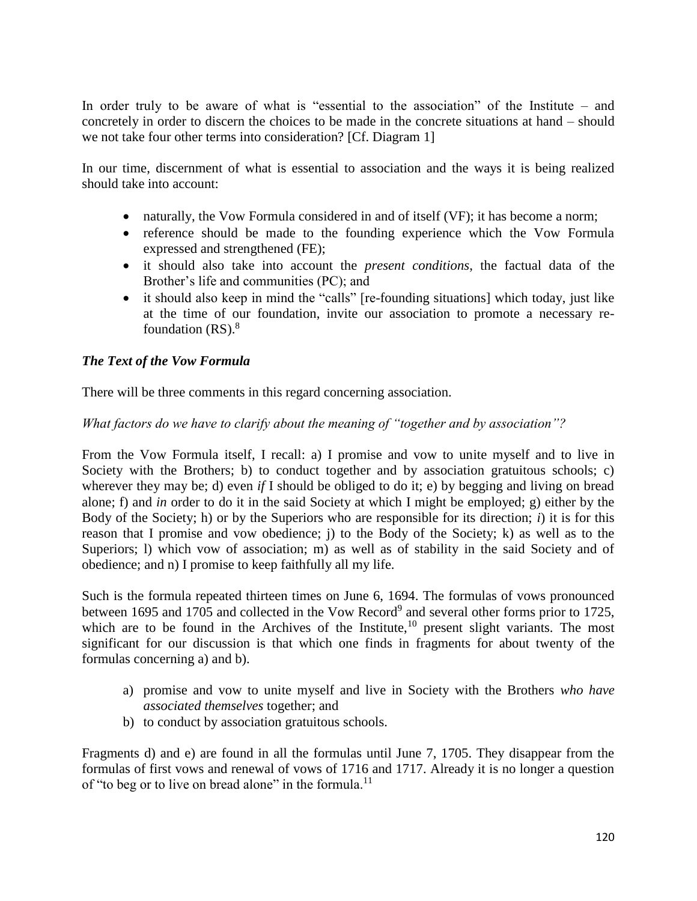In order truly to be aware of what is "essential to the association" of the Institute – and concretely in order to discern the choices to be made in the concrete situations at hand – should we not take four other terms into consideration? [Cf. Diagram 1]

In our time, discernment of what is essential to association and the ways it is being realized should take into account:

- naturally, the Vow Formula considered in and of itself (VF); it has become a norm;
- reference should be made to the founding experience which the Vow Formula expressed and strengthened (FE);
- it should also take into account the *present conditions*, the factual data of the Brother's life and communities (PC); and
- it should also keep in mind the "calls" [re-founding situations] which today, just like at the time of our foundation, invite our association to promote a necessary refoundation  $(RS)$ .<sup>8</sup>

# *The Text of the Vow Formula*

There will be three comments in this regard concerning association.

### *What factors do we have to clarify about the meaning of "together and by association"?*

From the Vow Formula itself, I recall: a) I promise and vow to unite myself and to live in Society with the Brothers; b) to conduct together and by association gratuitous schools; c) wherever they may be; d) even *if* I should be obliged to do it; e) by begging and living on bread alone; f) and *in* order to do it in the said Society at which I might be employed; g) either by the Body of the Society; h) or by the Superiors who are responsible for its direction; *i*) it is for this reason that I promise and vow obedience; j) to the Body of the Society; k) as well as to the Superiors; 1) which vow of association; m) as well as of stability in the said Society and of obedience; and n) I promise to keep faithfully all my life.

Such is the formula repeated thirteen times on June 6, 1694. The formulas of vows pronounced between 1695 and 1705 and collected in the Vow Record<sup>9</sup> and several other forms prior to 1725, which are to be found in the Archives of the Institute, $10$  present slight variants. The most significant for our discussion is that which one finds in fragments for about twenty of the formulas concerning a) and b).

- a) promise and vow to unite myself and live in Society with the Brothers *who have associated themselves* together; and
- b) to conduct by association gratuitous schools.

Fragments d) and e) are found in all the formulas until June 7, 1705. They disappear from the formulas of first vows and renewal of vows of 1716 and 1717. Already it is no longer a question of "to beg or to live on bread alone" in the formula.<sup>11</sup>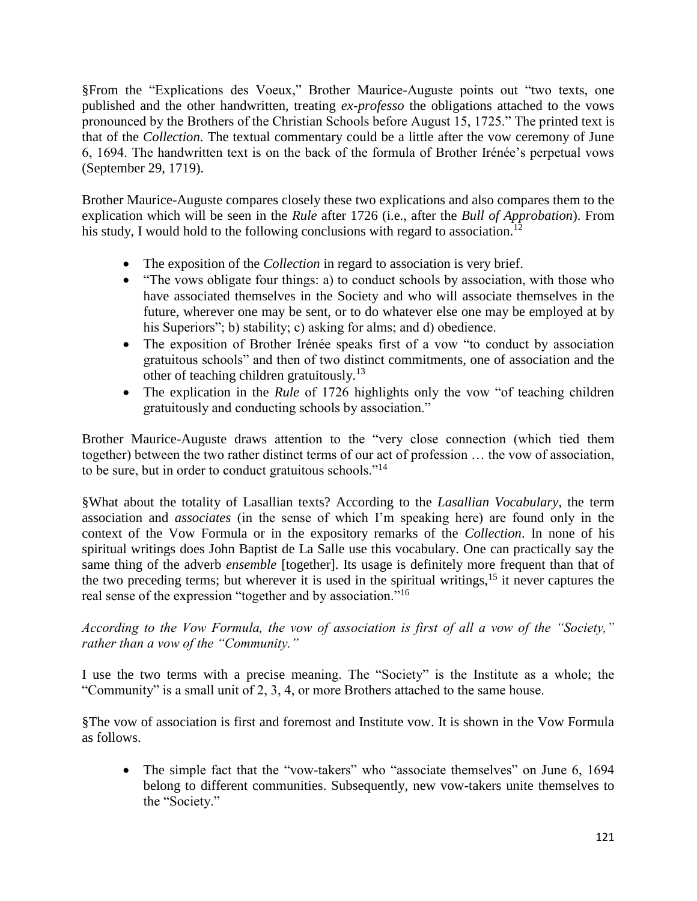§From the "Explications des Voeux," Brother Maurice-Auguste points out "two texts, one published and the other handwritten, treating *ex-professo* the obligations attached to the vows pronounced by the Brothers of the Christian Schools before August 15, 1725." The printed text is that of the *Collection*. The textual commentary could be a little after the vow ceremony of June 6, 1694. The handwritten text is on the back of the formula of Brother Irénée's perpetual vows (September 29, 1719).

Brother Maurice-Auguste compares closely these two explications and also compares them to the explication which will be seen in the *Rule* after 1726 (i.e., after the *Bull of Approbation*). From his study, I would hold to the following conclusions with regard to association.<sup>12</sup>

- The exposition of the *Collection* in regard to association is very brief.
- "The vows obligate four things: a) to conduct schools by association, with those who have associated themselves in the Society and who will associate themselves in the future, wherever one may be sent, or to do whatever else one may be employed at by his Superiors"; b) stability; c) asking for alms; and d) obedience.
- The exposition of Brother Irénée speaks first of a vow "to conduct by association gratuitous schools" and then of two distinct commitments, one of association and the other of teaching children gratuitously.<sup>13</sup>
- The explication in the *Rule* of 1726 highlights only the vow "of teaching children gratuitously and conducting schools by association."

Brother Maurice-Auguste draws attention to the "very close connection (which tied them together) between the two rather distinct terms of our act of profession … the vow of association, to be sure, but in order to conduct gratuitous schools."<sup>14</sup>

§What about the totality of Lasallian texts? According to the *Lasallian Vocabulary*, the term association and *associates* (in the sense of which I'm speaking here) are found only in the context of the Vow Formula or in the expository remarks of the *Collection*. In none of his spiritual writings does John Baptist de La Salle use this vocabulary. One can practically say the same thing of the adverb *ensemble* [together]. Its usage is definitely more frequent than that of the two preceding terms; but wherever it is used in the spiritual writings,  $15$  it never captures the real sense of the expression "together and by association."<sup>16</sup>

*According to the Vow Formula, the vow of association is first of all a vow of the "Society," rather than a vow of the "Community."*

I use the two terms with a precise meaning. The "Society" is the Institute as a whole; the "Community" is a small unit of 2, 3, 4, or more Brothers attached to the same house.

§The vow of association is first and foremost and Institute vow. It is shown in the Vow Formula as follows.

• The simple fact that the "vow-takers" who "associate themselves" on June 6, 1694 belong to different communities. Subsequently, new vow-takers unite themselves to the "Society."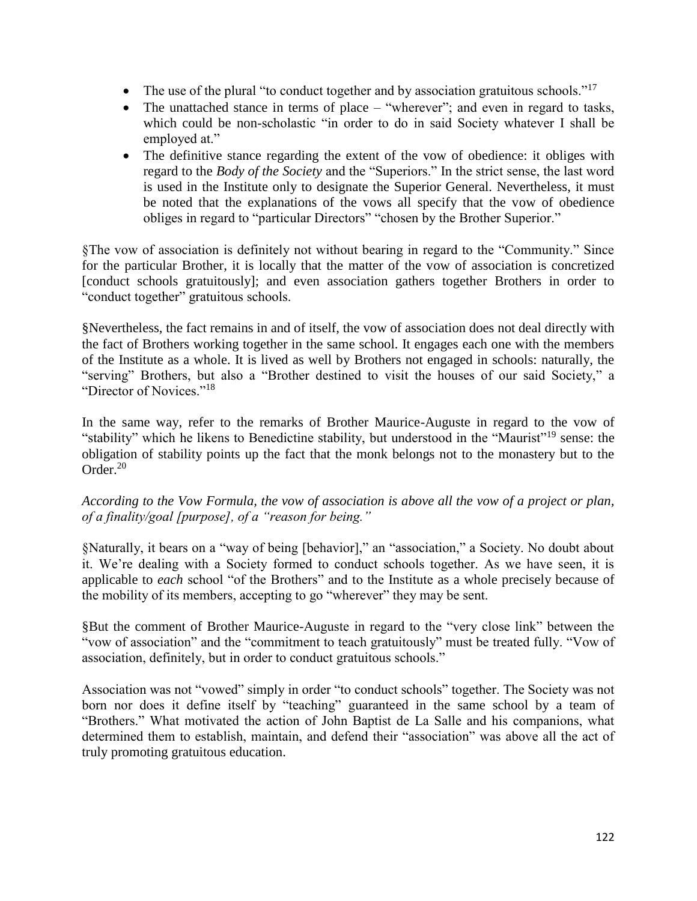- The use of the plural "to conduct together and by association gratuitous schools." $17$
- The unattached stance in terms of place "wherever"; and even in regard to tasks, which could be non-scholastic "in order to do in said Society whatever I shall be employed at."
- The definitive stance regarding the extent of the vow of obedience: it obliges with regard to the *Body of the Society* and the "Superiors." In the strict sense, the last word is used in the Institute only to designate the Superior General. Nevertheless, it must be noted that the explanations of the vows all specify that the vow of obedience obliges in regard to "particular Directors" "chosen by the Brother Superior."

§The vow of association is definitely not without bearing in regard to the "Community." Since for the particular Brother, it is locally that the matter of the vow of association is concretized [conduct schools gratuitously]; and even association gathers together Brothers in order to "conduct together" gratuitous schools.

§Nevertheless, the fact remains in and of itself, the vow of association does not deal directly with the fact of Brothers working together in the same school. It engages each one with the members of the Institute as a whole. It is lived as well by Brothers not engaged in schools: naturally, the "serving" Brothers, but also a "Brother destined to visit the houses of our said Society," a "Director of Novices."<sup>18</sup>

In the same way, refer to the remarks of Brother Maurice-Auguste in regard to the vow of "stability" which he likens to Benedictine stability, but understood in the "Maurist"<sup>19</sup> sense: the obligation of stability points up the fact that the monk belongs not to the monastery but to the Order.<sup>20</sup>

*According to the Vow Formula, the vow of association is above all the vow of a project or plan, of a finality/goal [purpose], of a "reason for being."*

§Naturally, it bears on a "way of being [behavior]," an "association," a Society. No doubt about it. We're dealing with a Society formed to conduct schools together. As we have seen, it is applicable to *each* school "of the Brothers" and to the Institute as a whole precisely because of the mobility of its members, accepting to go "wherever" they may be sent.

§But the comment of Brother Maurice-Auguste in regard to the "very close link" between the "vow of association" and the "commitment to teach gratuitously" must be treated fully. "Vow of association, definitely, but in order to conduct gratuitous schools."

Association was not "vowed" simply in order "to conduct schools" together. The Society was not born nor does it define itself by "teaching" guaranteed in the same school by a team of "Brothers." What motivated the action of John Baptist de La Salle and his companions, what determined them to establish, maintain, and defend their "association" was above all the act of truly promoting gratuitous education.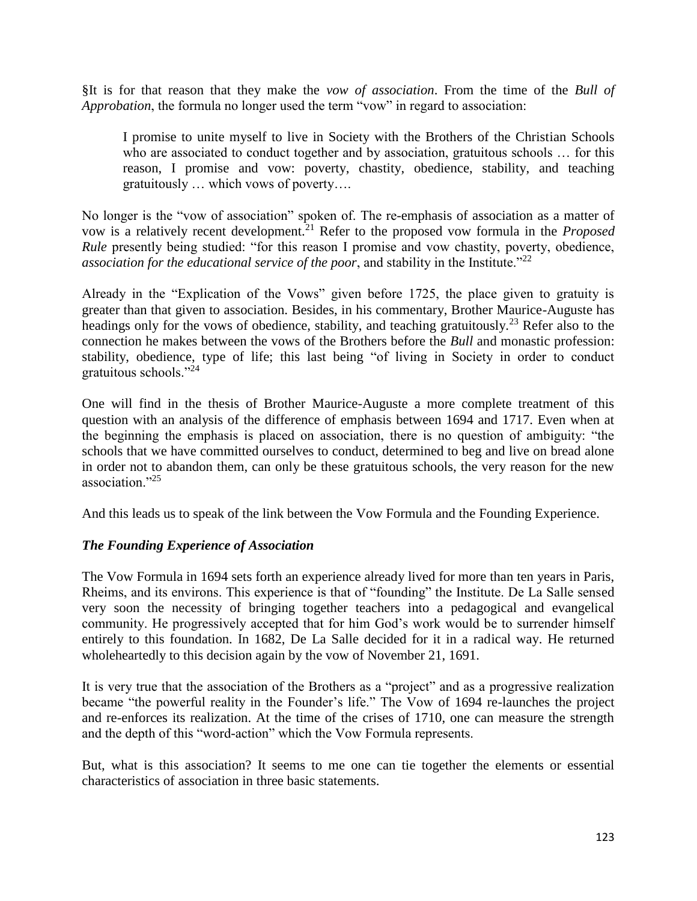§It is for that reason that they make the *vow of association*. From the time of the *Bull of Approbation*, the formula no longer used the term "vow" in regard to association:

I promise to unite myself to live in Society with the Brothers of the Christian Schools who are associated to conduct together and by association, gratuitous schools ... for this reason, I promise and vow: poverty, chastity, obedience, stability, and teaching gratuitously … which vows of poverty….

No longer is the "vow of association" spoken of. The re-emphasis of association as a matter of vow is a relatively recent development.<sup>21</sup> Refer to the proposed vow formula in the *Proposed Rule* presently being studied: "for this reason I promise and vow chastity, poverty, obedience, *association for the educational service of the poor, and stability in the Institute.*"<sup>22</sup>

Already in the "Explication of the Vows" given before 1725, the place given to gratuity is greater than that given to association. Besides, in his commentary, Brother Maurice-Auguste has headings only for the vows of obedience, stability, and teaching gratuitously.<sup>23</sup> Refer also to the connection he makes between the vows of the Brothers before the *Bull* and monastic profession: stability, obedience, type of life; this last being "of living in Society in order to conduct gratuitous schools."<sup>24</sup>

One will find in the thesis of Brother Maurice-Auguste a more complete treatment of this question with an analysis of the difference of emphasis between 1694 and 1717. Even when at the beginning the emphasis is placed on association, there is no question of ambiguity: "the schools that we have committed ourselves to conduct, determined to beg and live on bread alone in order not to abandon them, can only be these gratuitous schools, the very reason for the new association."<sup>25</sup>

And this leads us to speak of the link between the Vow Formula and the Founding Experience.

# *The Founding Experience of Association*

The Vow Formula in 1694 sets forth an experience already lived for more than ten years in Paris, Rheims, and its environs. This experience is that of "founding" the Institute. De La Salle sensed very soon the necessity of bringing together teachers into a pedagogical and evangelical community. He progressively accepted that for him God's work would be to surrender himself entirely to this foundation. In 1682, De La Salle decided for it in a radical way. He returned wholeheartedly to this decision again by the vow of November 21, 1691.

It is very true that the association of the Brothers as a "project" and as a progressive realization became "the powerful reality in the Founder's life." The Vow of 1694 re-launches the project and re-enforces its realization. At the time of the crises of 1710, one can measure the strength and the depth of this "word-action" which the Vow Formula represents.

But, what is this association? It seems to me one can tie together the elements or essential characteristics of association in three basic statements.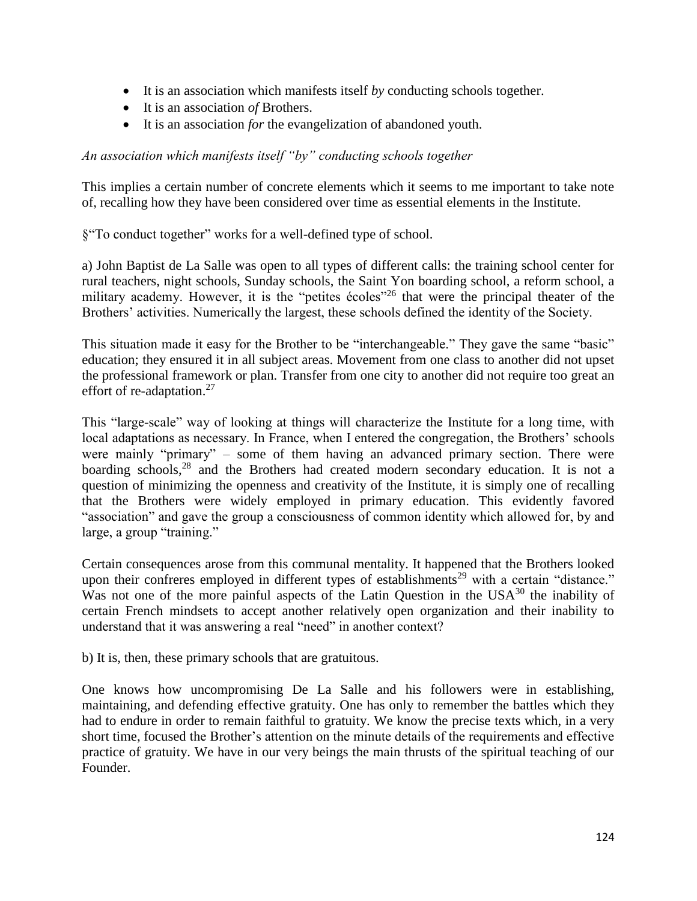- It is an association which manifests itself *by* conducting schools together.
- It is an association *of* Brothers.
- It is an association *for* the evangelization of abandoned youth.

### *An association which manifests itself "by" conducting schools together*

This implies a certain number of concrete elements which it seems to me important to take note of, recalling how they have been considered over time as essential elements in the Institute.

§"To conduct together" works for a well-defined type of school.

a) John Baptist de La Salle was open to all types of different calls: the training school center for rural teachers, night schools, Sunday schools, the Saint Yon boarding school, a reform school, a military academy. However, it is the "petites écoles"<sup>26</sup> that were the principal theater of the Brothers' activities. Numerically the largest, these schools defined the identity of the Society.

This situation made it easy for the Brother to be "interchangeable." They gave the same "basic" education; they ensured it in all subject areas. Movement from one class to another did not upset the professional framework or plan. Transfer from one city to another did not require too great an effort of re-adaptation.<sup>27</sup>

This "large-scale" way of looking at things will characterize the Institute for a long time, with local adaptations as necessary. In France, when I entered the congregation, the Brothers' schools were mainly "primary" – some of them having an advanced primary section. There were boarding schools,<sup>28</sup> and the Brothers had created modern secondary education. It is not a question of minimizing the openness and creativity of the Institute, it is simply one of recalling that the Brothers were widely employed in primary education. This evidently favored "association" and gave the group a consciousness of common identity which allowed for, by and large, a group "training."

Certain consequences arose from this communal mentality. It happened that the Brothers looked upon their confreres employed in different types of establishments<sup>29</sup> with a certain "distance." Was not one of the more painful aspects of the Latin Question in the  $USA^{30}$  the inability of certain French mindsets to accept another relatively open organization and their inability to understand that it was answering a real "need" in another context?

b) It is, then, these primary schools that are gratuitous.

One knows how uncompromising De La Salle and his followers were in establishing, maintaining, and defending effective gratuity. One has only to remember the battles which they had to endure in order to remain faithful to gratuity. We know the precise texts which, in a very short time, focused the Brother's attention on the minute details of the requirements and effective practice of gratuity. We have in our very beings the main thrusts of the spiritual teaching of our Founder.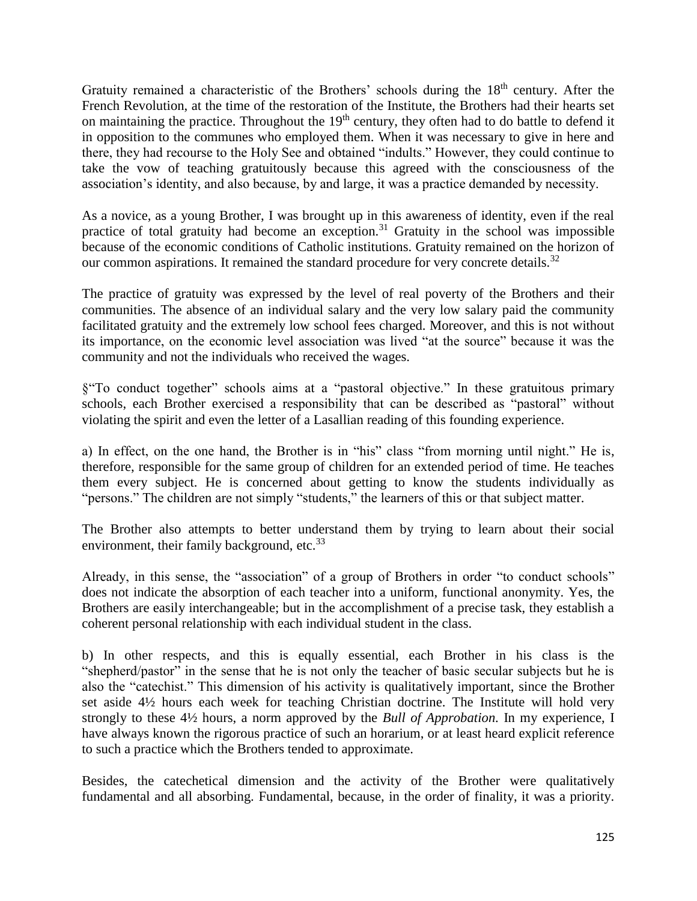Gratuity remained a characteristic of the Brothers' schools during the 18<sup>th</sup> century. After the French Revolution, at the time of the restoration of the Institute, the Brothers had their hearts set on maintaining the practice. Throughout the  $19<sup>th</sup>$  century, they often had to do battle to defend it in opposition to the communes who employed them. When it was necessary to give in here and there, they had recourse to the Holy See and obtained "indults." However, they could continue to take the vow of teaching gratuitously because this agreed with the consciousness of the association's identity, and also because, by and large, it was a practice demanded by necessity.

As a novice, as a young Brother, I was brought up in this awareness of identity, even if the real practice of total gratuity had become an exception.<sup>31</sup> Gratuity in the school was impossible because of the economic conditions of Catholic institutions. Gratuity remained on the horizon of our common aspirations. It remained the standard procedure for very concrete details.<sup>32</sup>

The practice of gratuity was expressed by the level of real poverty of the Brothers and their communities. The absence of an individual salary and the very low salary paid the community facilitated gratuity and the extremely low school fees charged. Moreover, and this is not without its importance, on the economic level association was lived "at the source" because it was the community and not the individuals who received the wages.

§"To conduct together" schools aims at a "pastoral objective." In these gratuitous primary schools, each Brother exercised a responsibility that can be described as "pastoral" without violating the spirit and even the letter of a Lasallian reading of this founding experience.

a) In effect, on the one hand, the Brother is in "his" class "from morning until night." He is, therefore, responsible for the same group of children for an extended period of time. He teaches them every subject. He is concerned about getting to know the students individually as "persons." The children are not simply "students," the learners of this or that subject matter.

The Brother also attempts to better understand them by trying to learn about their social environment, their family background, etc.<sup>33</sup>

Already, in this sense, the "association" of a group of Brothers in order "to conduct schools" does not indicate the absorption of each teacher into a uniform, functional anonymity. Yes, the Brothers are easily interchangeable; but in the accomplishment of a precise task, they establish a coherent personal relationship with each individual student in the class.

b) In other respects, and this is equally essential, each Brother in his class is the "shepherd/pastor" in the sense that he is not only the teacher of basic secular subjects but he is also the "catechist." This dimension of his activity is qualitatively important, since the Brother set aside 4½ hours each week for teaching Christian doctrine. The Institute will hold very strongly to these 4½ hours, a norm approved by the *Bull of Approbation*. In my experience, I have always known the rigorous practice of such an horarium, or at least heard explicit reference to such a practice which the Brothers tended to approximate.

Besides, the catechetical dimension and the activity of the Brother were qualitatively fundamental and all absorbing. Fundamental, because, in the order of finality, it was a priority.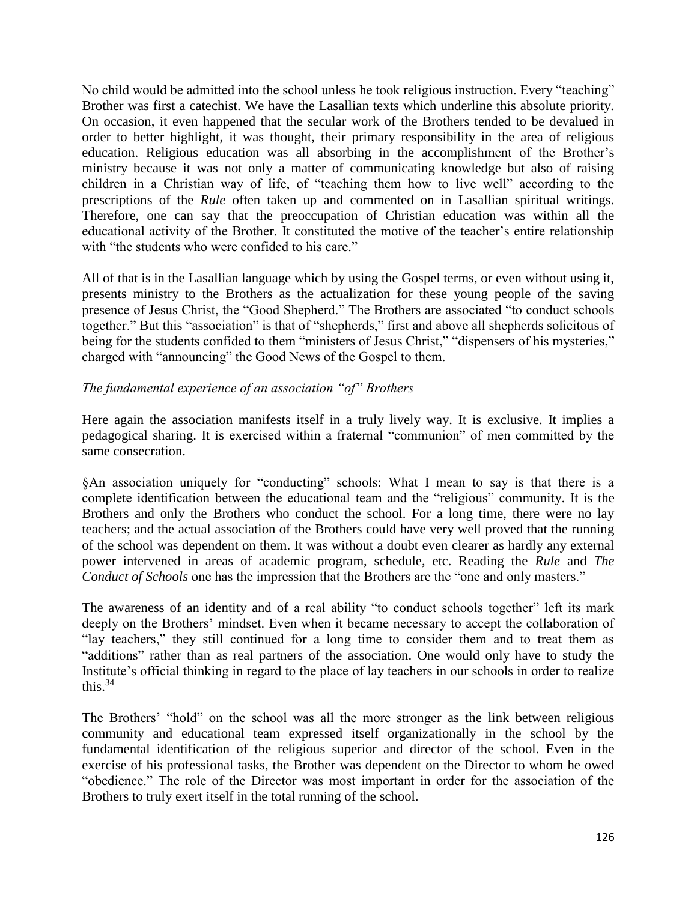No child would be admitted into the school unless he took religious instruction. Every "teaching" Brother was first a catechist. We have the Lasallian texts which underline this absolute priority. On occasion, it even happened that the secular work of the Brothers tended to be devalued in order to better highlight, it was thought, their primary responsibility in the area of religious education. Religious education was all absorbing in the accomplishment of the Brother's ministry because it was not only a matter of communicating knowledge but also of raising children in a Christian way of life, of "teaching them how to live well" according to the prescriptions of the *Rule* often taken up and commented on in Lasallian spiritual writings. Therefore, one can say that the preoccupation of Christian education was within all the educational activity of the Brother. It constituted the motive of the teacher's entire relationship with "the students who were confided to his care."

All of that is in the Lasallian language which by using the Gospel terms, or even without using it, presents ministry to the Brothers as the actualization for these young people of the saving presence of Jesus Christ, the "Good Shepherd." The Brothers are associated "to conduct schools together." But this "association" is that of "shepherds," first and above all shepherds solicitous of being for the students confided to them "ministers of Jesus Christ," "dispensers of his mysteries," charged with "announcing" the Good News of the Gospel to them.

# *The fundamental experience of an association "of" Brothers*

Here again the association manifests itself in a truly lively way. It is exclusive. It implies a pedagogical sharing. It is exercised within a fraternal "communion" of men committed by the same consecration.

§An association uniquely for "conducting" schools: What I mean to say is that there is a complete identification between the educational team and the "religious" community. It is the Brothers and only the Brothers who conduct the school. For a long time, there were no lay teachers; and the actual association of the Brothers could have very well proved that the running of the school was dependent on them. It was without a doubt even clearer as hardly any external power intervened in areas of academic program, schedule, etc. Reading the *Rule* and *The Conduct of Schools* one has the impression that the Brothers are the "one and only masters."

The awareness of an identity and of a real ability "to conduct schools together" left its mark deeply on the Brothers' mindset. Even when it became necessary to accept the collaboration of "lay teachers," they still continued for a long time to consider them and to treat them as "additions" rather than as real partners of the association. One would only have to study the Institute's official thinking in regard to the place of lay teachers in our schools in order to realize this. $34$ 

The Brothers' "hold" on the school was all the more stronger as the link between religious community and educational team expressed itself organizationally in the school by the fundamental identification of the religious superior and director of the school. Even in the exercise of his professional tasks, the Brother was dependent on the Director to whom he owed "obedience." The role of the Director was most important in order for the association of the Brothers to truly exert itself in the total running of the school.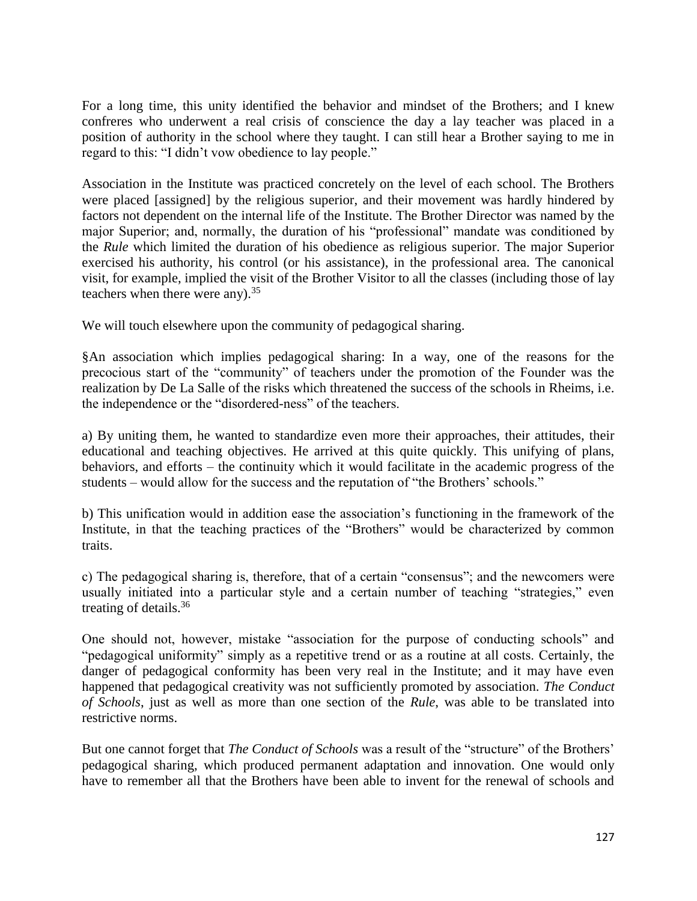For a long time, this unity identified the behavior and mindset of the Brothers; and I knew confreres who underwent a real crisis of conscience the day a lay teacher was placed in a position of authority in the school where they taught. I can still hear a Brother saying to me in regard to this: "I didn't vow obedience to lay people."

Association in the Institute was practiced concretely on the level of each school. The Brothers were placed [assigned] by the religious superior, and their movement was hardly hindered by factors not dependent on the internal life of the Institute. The Brother Director was named by the major Superior; and, normally, the duration of his "professional" mandate was conditioned by the *Rule* which limited the duration of his obedience as religious superior. The major Superior exercised his authority, his control (or his assistance), in the professional area. The canonical visit, for example, implied the visit of the Brother Visitor to all the classes (including those of lay teachers when there were any $1^{35}$ 

We will touch elsewhere upon the community of pedagogical sharing.

§An association which implies pedagogical sharing: In a way, one of the reasons for the precocious start of the "community" of teachers under the promotion of the Founder was the realization by De La Salle of the risks which threatened the success of the schools in Rheims, i.e. the independence or the "disordered-ness" of the teachers.

a) By uniting them, he wanted to standardize even more their approaches, their attitudes, their educational and teaching objectives. He arrived at this quite quickly. This unifying of plans, behaviors, and efforts – the continuity which it would facilitate in the academic progress of the students – would allow for the success and the reputation of "the Brothers' schools."

b) This unification would in addition ease the association's functioning in the framework of the Institute, in that the teaching practices of the "Brothers" would be characterized by common traits.

c) The pedagogical sharing is, therefore, that of a certain "consensus"; and the newcomers were usually initiated into a particular style and a certain number of teaching "strategies," even treating of details.<sup>36</sup>

One should not, however, mistake "association for the purpose of conducting schools" and "pedagogical uniformity" simply as a repetitive trend or as a routine at all costs. Certainly, the danger of pedagogical conformity has been very real in the Institute; and it may have even happened that pedagogical creativity was not sufficiently promoted by association. *The Conduct of Schools*, just as well as more than one section of the *Rule*, was able to be translated into restrictive norms.

But one cannot forget that *The Conduct of Schools* was a result of the "structure" of the Brothers' pedagogical sharing, which produced permanent adaptation and innovation. One would only have to remember all that the Brothers have been able to invent for the renewal of schools and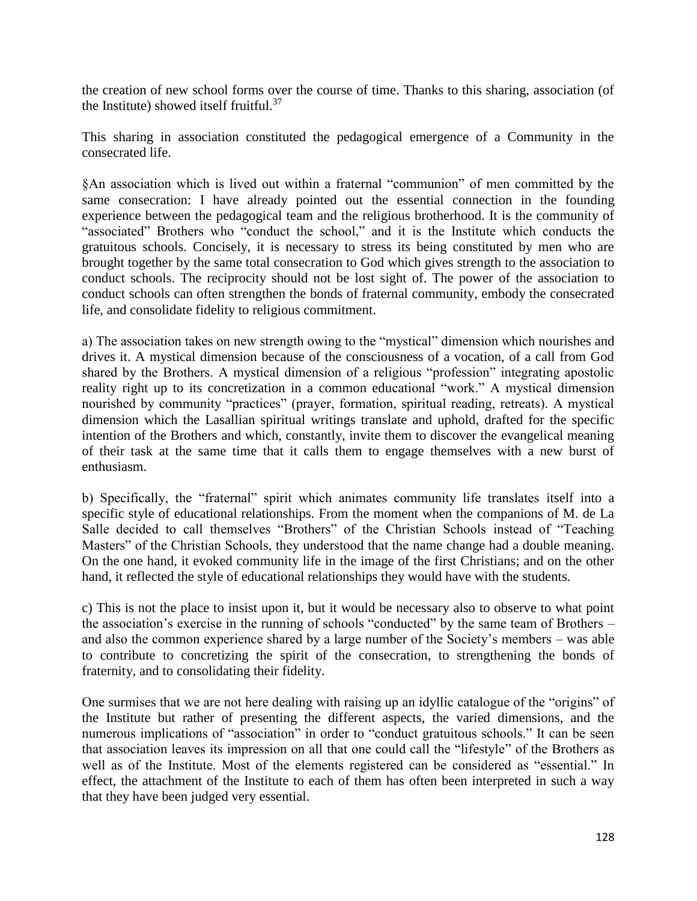the creation of new school forms over the course of time. Thanks to this sharing, association (of the Institute) showed itself fruitful. $37$ 

This sharing in association constituted the pedagogical emergence of a Community in the consecrated life.

§An association which is lived out within a fraternal "communion" of men committed by the same consecration: I have already pointed out the essential connection in the founding experience between the pedagogical team and the religious brotherhood. It is the community of "associated" Brothers who "conduct the school," and it is the Institute which conducts the gratuitous schools. Concisely, it is necessary to stress its being constituted by men who are brought together by the same total consecration to God which gives strength to the association to conduct schools. The reciprocity should not be lost sight of. The power of the association to conduct schools can often strengthen the bonds of fraternal community, embody the consecrated life, and consolidate fidelity to religious commitment.

a) The association takes on new strength owing to the "mystical" dimension which nourishes and drives it. A mystical dimension because of the consciousness of a vocation, of a call from God shared by the Brothers. A mystical dimension of a religious "profession" integrating apostolic reality right up to its concretization in a common educational "work." A mystical dimension nourished by community "practices" (prayer, formation, spiritual reading, retreats). A mystical dimension which the Lasallian spiritual writings translate and uphold, drafted for the specific intention of the Brothers and which, constantly, invite them to discover the evangelical meaning of their task at the same time that it calls them to engage themselves with a new burst of enthusiasm.

b) Specifically, the "fraternal" spirit which animates community life translates itself into a specific style of educational relationships. From the moment when the companions of M. de La Salle decided to call themselves "Brothers" of the Christian Schools instead of "Teaching Masters" of the Christian Schools, they understood that the name change had a double meaning. On the one hand, it evoked community life in the image of the first Christians; and on the other hand, it reflected the style of educational relationships they would have with the students.

c) This is not the place to insist upon it, but it would be necessary also to observe to what point the association's exercise in the running of schools "conducted" by the same team of Brothers – and also the common experience shared by a large number of the Society's members – was able to contribute to concretizing the spirit of the consecration, to strengthening the bonds of fraternity, and to consolidating their fidelity.

One surmises that we are not here dealing with raising up an idyllic catalogue of the "origins" of the Institute but rather of presenting the different aspects, the varied dimensions, and the numerous implications of "association" in order to "conduct gratuitous schools." It can be seen that association leaves its impression on all that one could call the "lifestyle" of the Brothers as well as of the Institute. Most of the elements registered can be considered as "essential." In effect, the attachment of the Institute to each of them has often been interpreted in such a way that they have been judged very essential.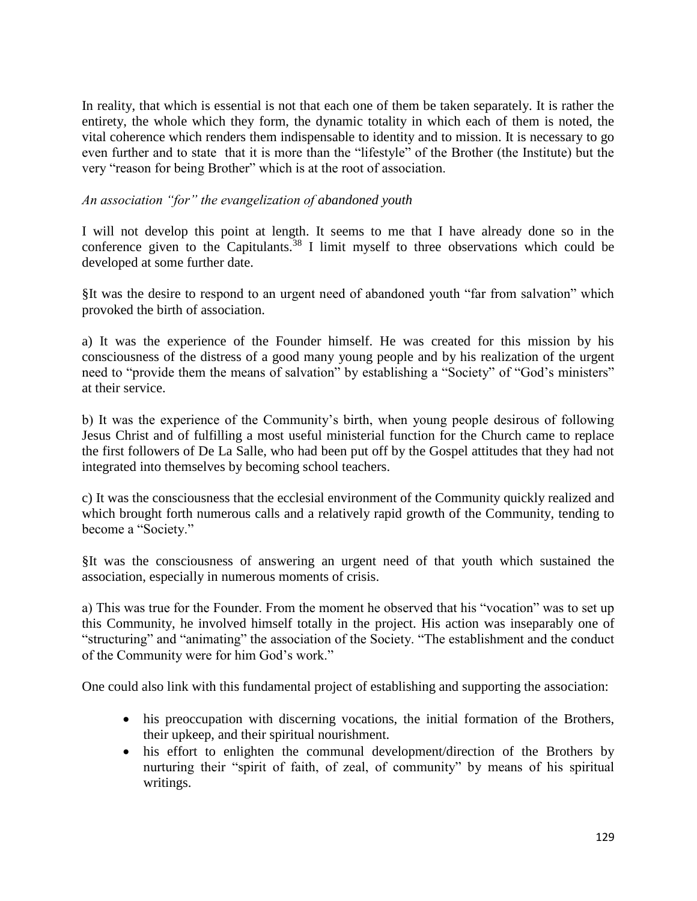In reality, that which is essential is not that each one of them be taken separately. It is rather the entirety, the whole which they form, the dynamic totality in which each of them is noted, the vital coherence which renders them indispensable to identity and to mission. It is necessary to go even further and to state that it is more than the "lifestyle" of the Brother (the Institute) but the very "reason for being Brother" which is at the root of association.

### *An association "for" the evangelization of abandoned youth*

I will not develop this point at length. It seems to me that I have already done so in the conference given to the Capitulants.<sup>38</sup> I limit myself to three observations which could be developed at some further date.

§It was the desire to respond to an urgent need of abandoned youth "far from salvation" which provoked the birth of association.

a) It was the experience of the Founder himself. He was created for this mission by his consciousness of the distress of a good many young people and by his realization of the urgent need to "provide them the means of salvation" by establishing a "Society" of "God's ministers" at their service.

b) It was the experience of the Community's birth, when young people desirous of following Jesus Christ and of fulfilling a most useful ministerial function for the Church came to replace the first followers of De La Salle, who had been put off by the Gospel attitudes that they had not integrated into themselves by becoming school teachers.

c) It was the consciousness that the ecclesial environment of the Community quickly realized and which brought forth numerous calls and a relatively rapid growth of the Community, tending to become a "Society."

§It was the consciousness of answering an urgent need of that youth which sustained the association, especially in numerous moments of crisis.

a) This was true for the Founder. From the moment he observed that his "vocation" was to set up this Community, he involved himself totally in the project. His action was inseparably one of "structuring" and "animating" the association of the Society. "The establishment and the conduct of the Community were for him God's work."

One could also link with this fundamental project of establishing and supporting the association:

- his preoccupation with discerning vocations, the initial formation of the Brothers, their upkeep, and their spiritual nourishment.
- his effort to enlighten the communal development/direction of the Brothers by nurturing their "spirit of faith, of zeal, of community" by means of his spiritual writings.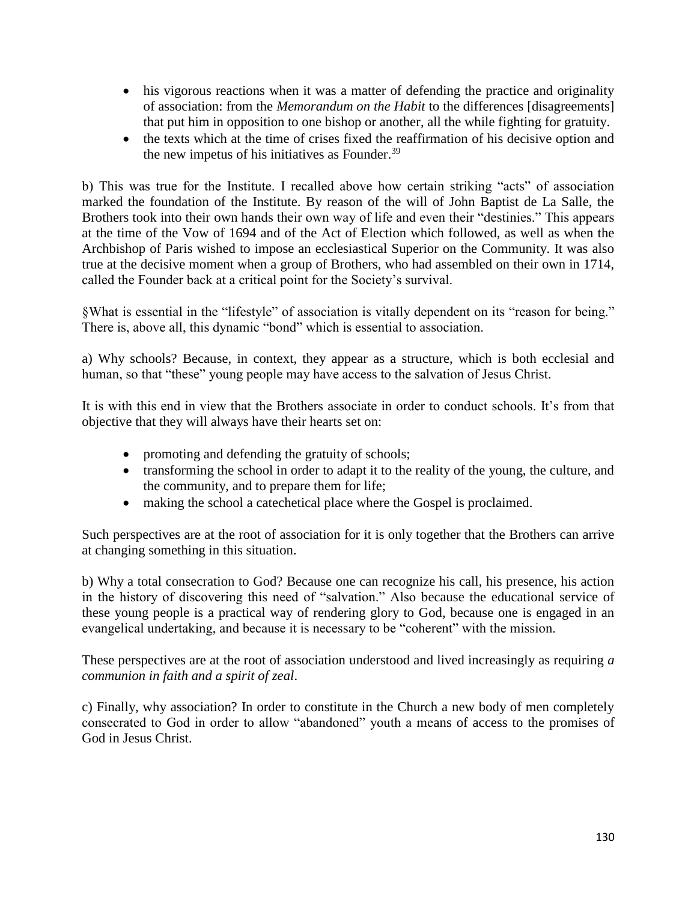- his vigorous reactions when it was a matter of defending the practice and originality of association: from the *Memorandum on the Habit* to the differences [disagreements] that put him in opposition to one bishop or another, all the while fighting for gratuity.
- the texts which at the time of crises fixed the reaffirmation of his decisive option and the new impetus of his initiatives as Founder.<sup>39</sup>

b) This was true for the Institute. I recalled above how certain striking "acts" of association marked the foundation of the Institute. By reason of the will of John Baptist de La Salle, the Brothers took into their own hands their own way of life and even their "destinies." This appears at the time of the Vow of 1694 and of the Act of Election which followed, as well as when the Archbishop of Paris wished to impose an ecclesiastical Superior on the Community. It was also true at the decisive moment when a group of Brothers, who had assembled on their own in 1714, called the Founder back at a critical point for the Society's survival.

§What is essential in the "lifestyle" of association is vitally dependent on its "reason for being." There is, above all, this dynamic "bond" which is essential to association.

a) Why schools? Because, in context, they appear as a structure, which is both ecclesial and human, so that "these" young people may have access to the salvation of Jesus Christ.

It is with this end in view that the Brothers associate in order to conduct schools. It's from that objective that they will always have their hearts set on:

- promoting and defending the gratuity of schools;
- transforming the school in order to adapt it to the reality of the young, the culture, and the community, and to prepare them for life;
- making the school a catechetical place where the Gospel is proclaimed.

Such perspectives are at the root of association for it is only together that the Brothers can arrive at changing something in this situation.

b) Why a total consecration to God? Because one can recognize his call, his presence, his action in the history of discovering this need of "salvation." Also because the educational service of these young people is a practical way of rendering glory to God, because one is engaged in an evangelical undertaking, and because it is necessary to be "coherent" with the mission.

These perspectives are at the root of association understood and lived increasingly as requiring *a communion in faith and a spirit of zeal*.

c) Finally, why association? In order to constitute in the Church a new body of men completely consecrated to God in order to allow "abandoned" youth a means of access to the promises of God in Jesus Christ.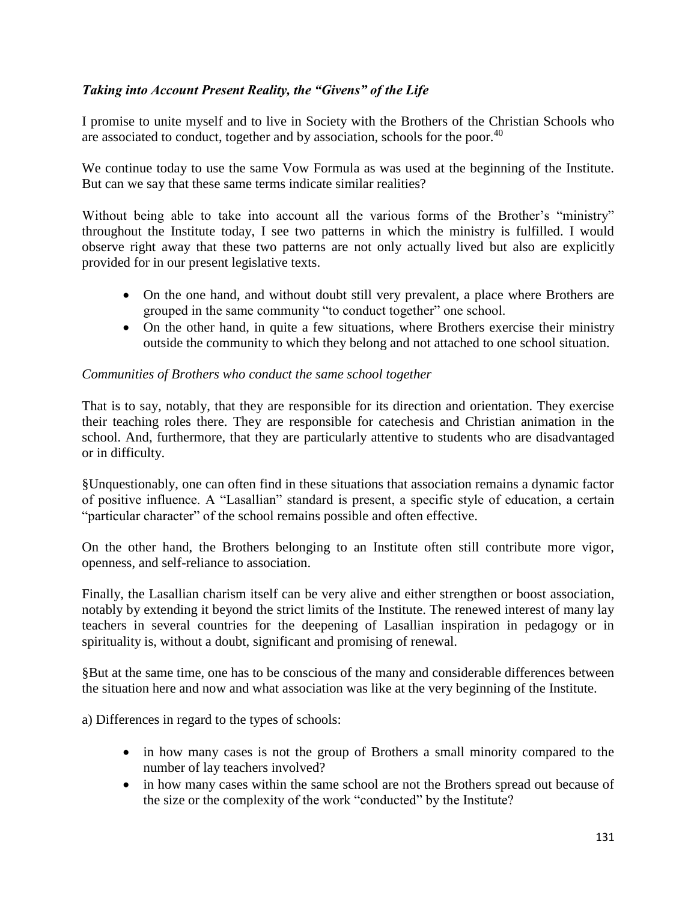# *Taking into Account Present Reality, the "Givens" of the Life*

I promise to unite myself and to live in Society with the Brothers of the Christian Schools who are associated to conduct, together and by association, schools for the poor.<sup>40</sup>

We continue today to use the same Vow Formula as was used at the beginning of the Institute. But can we say that these same terms indicate similar realities?

Without being able to take into account all the various forms of the Brother's "ministry" throughout the Institute today, I see two patterns in which the ministry is fulfilled. I would observe right away that these two patterns are not only actually lived but also are explicitly provided for in our present legislative texts.

- On the one hand, and without doubt still very prevalent, a place where Brothers are grouped in the same community "to conduct together" one school.
- On the other hand, in quite a few situations, where Brothers exercise their ministry outside the community to which they belong and not attached to one school situation.

### *Communities of Brothers who conduct the same school together*

That is to say, notably, that they are responsible for its direction and orientation. They exercise their teaching roles there. They are responsible for catechesis and Christian animation in the school. And, furthermore, that they are particularly attentive to students who are disadvantaged or in difficulty.

§Unquestionably, one can often find in these situations that association remains a dynamic factor of positive influence. A "Lasallian" standard is present, a specific style of education, a certain "particular character" of the school remains possible and often effective.

On the other hand, the Brothers belonging to an Institute often still contribute more vigor, openness, and self-reliance to association.

Finally, the Lasallian charism itself can be very alive and either strengthen or boost association, notably by extending it beyond the strict limits of the Institute. The renewed interest of many lay teachers in several countries for the deepening of Lasallian inspiration in pedagogy or in spirituality is, without a doubt, significant and promising of renewal.

§But at the same time, one has to be conscious of the many and considerable differences between the situation here and now and what association was like at the very beginning of the Institute.

a) Differences in regard to the types of schools:

- in how many cases is not the group of Brothers a small minority compared to the number of lay teachers involved?
- in how many cases within the same school are not the Brothers spread out because of the size or the complexity of the work "conducted" by the Institute?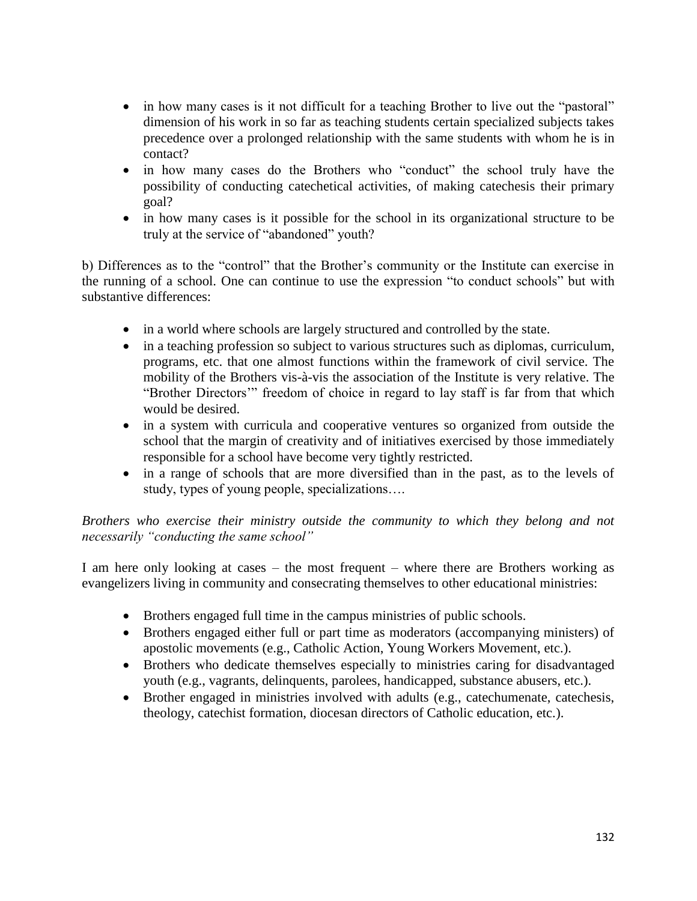- in how many cases is it not difficult for a teaching Brother to live out the "pastoral" dimension of his work in so far as teaching students certain specialized subjects takes precedence over a prolonged relationship with the same students with whom he is in contact?
- in how many cases do the Brothers who "conduct" the school truly have the possibility of conducting catechetical activities, of making catechesis their primary goal?
- in how many cases is it possible for the school in its organizational structure to be truly at the service of "abandoned" youth?

b) Differences as to the "control" that the Brother's community or the Institute can exercise in the running of a school. One can continue to use the expression "to conduct schools" but with substantive differences:

- in a world where schools are largely structured and controlled by the state.
- in a teaching profession so subject to various structures such as diplomas, curriculum, programs, etc. that one almost functions within the framework of civil service. The mobility of the Brothers vis-à-vis the association of the Institute is very relative. The "Brother Directors'" freedom of choice in regard to lay staff is far from that which would be desired.
- in a system with curricula and cooperative ventures so organized from outside the school that the margin of creativity and of initiatives exercised by those immediately responsible for a school have become very tightly restricted.
- in a range of schools that are more diversified than in the past, as to the levels of study, types of young people, specializations….

# *Brothers who exercise their ministry outside the community to which they belong and not necessarily "conducting the same school"*

I am here only looking at cases – the most frequent – where there are Brothers working as evangelizers living in community and consecrating themselves to other educational ministries:

- Brothers engaged full time in the campus ministries of public schools.
- Brothers engaged either full or part time as moderators (accompanying ministers) of apostolic movements (e.g., Catholic Action, Young Workers Movement, etc.).
- Brothers who dedicate themselves especially to ministries caring for disadvantaged youth (e.g., vagrants, delinquents, parolees, handicapped, substance abusers, etc.).
- Brother engaged in ministries involved with adults (e.g., catechumenate, catechesis, theology, catechist formation, diocesan directors of Catholic education, etc.).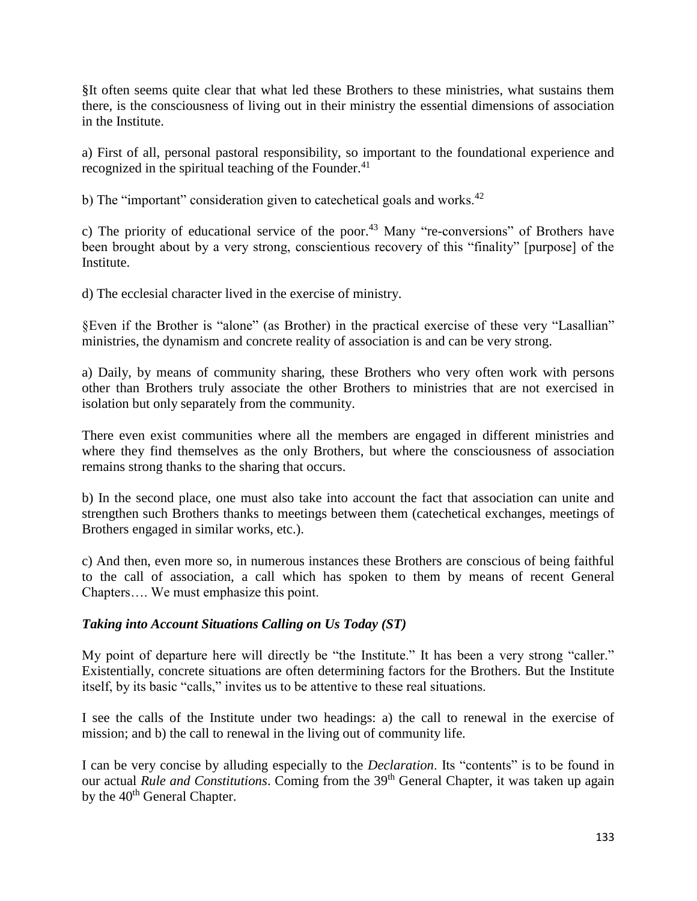§It often seems quite clear that what led these Brothers to these ministries, what sustains them there, is the consciousness of living out in their ministry the essential dimensions of association in the Institute.

a) First of all, personal pastoral responsibility, so important to the foundational experience and recognized in the spiritual teaching of the Founder. $41$ 

b) The "important" consideration given to cate chetical goals and works. $42$ 

c) The priority of educational service of the poor.<sup>43</sup> Many "re-conversions" of Brothers have been brought about by a very strong, conscientious recovery of this "finality" [purpose] of the Institute.

d) The ecclesial character lived in the exercise of ministry.

§Even if the Brother is "alone" (as Brother) in the practical exercise of these very "Lasallian" ministries, the dynamism and concrete reality of association is and can be very strong.

a) Daily, by means of community sharing, these Brothers who very often work with persons other than Brothers truly associate the other Brothers to ministries that are not exercised in isolation but only separately from the community.

There even exist communities where all the members are engaged in different ministries and where they find themselves as the only Brothers, but where the consciousness of association remains strong thanks to the sharing that occurs.

b) In the second place, one must also take into account the fact that association can unite and strengthen such Brothers thanks to meetings between them (catechetical exchanges, meetings of Brothers engaged in similar works, etc.).

c) And then, even more so, in numerous instances these Brothers are conscious of being faithful to the call of association, a call which has spoken to them by means of recent General Chapters…. We must emphasize this point.

# *Taking into Account Situations Calling on Us Today (ST)*

My point of departure here will directly be "the Institute." It has been a very strong "caller." Existentially, concrete situations are often determining factors for the Brothers. But the Institute itself, by its basic "calls," invites us to be attentive to these real situations.

I see the calls of the Institute under two headings: a) the call to renewal in the exercise of mission; and b) the call to renewal in the living out of community life.

I can be very concise by alluding especially to the *Declaration*. Its "contents" is to be found in our actual *Rule and Constitutions*. Coming from the 39<sup>th</sup> General Chapter, it was taken up again by the 40<sup>th</sup> General Chapter.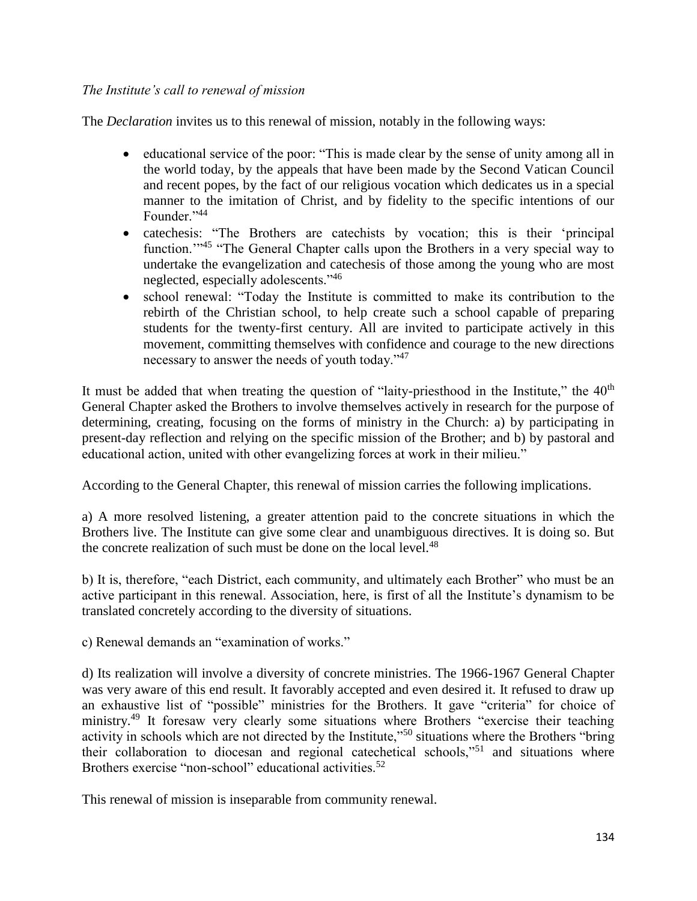### *The Institute's call to renewal of mission*

The *Declaration* invites us to this renewal of mission, notably in the following ways:

- educational service of the poor: "This is made clear by the sense of unity among all in the world today, by the appeals that have been made by the Second Vatican Council and recent popes, by the fact of our religious vocation which dedicates us in a special manner to the imitation of Christ, and by fidelity to the specific intentions of our Founder."44
- catechesis: "The Brothers are catechists by vocation; this is their 'principal function."<sup>45</sup> "The General Chapter calls upon the Brothers in a very special way to undertake the evangelization and catechesis of those among the young who are most neglected, especially adolescents."<sup>46</sup>
- school renewal: "Today the Institute is committed to make its contribution to the rebirth of the Christian school, to help create such a school capable of preparing students for the twenty-first century. All are invited to participate actively in this movement, committing themselves with confidence and courage to the new directions necessary to answer the needs of youth today."<sup>47</sup>

It must be added that when treating the question of "laity-priesthood in the Institute," the 40<sup>th</sup> General Chapter asked the Brothers to involve themselves actively in research for the purpose of determining, creating, focusing on the forms of ministry in the Church: a) by participating in present-day reflection and relying on the specific mission of the Brother; and b) by pastoral and educational action, united with other evangelizing forces at work in their milieu."

According to the General Chapter, this renewal of mission carries the following implications.

a) A more resolved listening, a greater attention paid to the concrete situations in which the Brothers live. The Institute can give some clear and unambiguous directives. It is doing so. But the concrete realization of such must be done on the local level. $48$ 

b) It is, therefore, "each District, each community, and ultimately each Brother" who must be an active participant in this renewal. Association, here, is first of all the Institute's dynamism to be translated concretely according to the diversity of situations.

c) Renewal demands an "examination of works."

d) Its realization will involve a diversity of concrete ministries. The 1966-1967 General Chapter was very aware of this end result. It favorably accepted and even desired it. It refused to draw up an exhaustive list of "possible" ministries for the Brothers. It gave "criteria" for choice of ministry.<sup>49</sup> It foresaw very clearly some situations where Brothers "exercise their teaching activity in schools which are not directed by the Institute,"<sup>50</sup> situations where the Brothers "bring their collaboration to diocesan and regional catechetical schools,"<sup>51</sup> and situations where Brothers exercise "non-school" educational activities.<sup>52</sup>

This renewal of mission is inseparable from community renewal.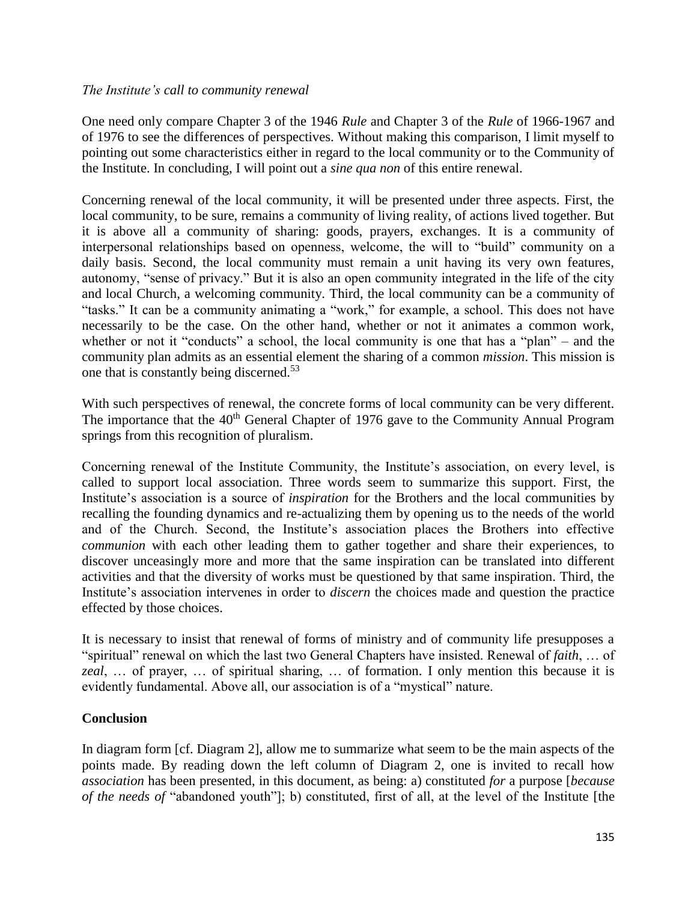#### *The Institute's call to community renewal*

One need only compare Chapter 3 of the 1946 *Rule* and Chapter 3 of the *Rule* of 1966-1967 and of 1976 to see the differences of perspectives. Without making this comparison, I limit myself to pointing out some characteristics either in regard to the local community or to the Community of the Institute. In concluding, I will point out a *sine qua non* of this entire renewal.

Concerning renewal of the local community, it will be presented under three aspects. First, the local community, to be sure, remains a community of living reality, of actions lived together. But it is above all a community of sharing: goods, prayers, exchanges. It is a community of interpersonal relationships based on openness, welcome, the will to "build" community on a daily basis. Second, the local community must remain a unit having its very own features, autonomy, "sense of privacy." But it is also an open community integrated in the life of the city and local Church, a welcoming community. Third, the local community can be a community of "tasks." It can be a community animating a "work," for example, a school. This does not have necessarily to be the case. On the other hand, whether or not it animates a common work, whether or not it "conducts" a school, the local community is one that has a "plan" – and the community plan admits as an essential element the sharing of a common *mission*. This mission is one that is constantly being discerned.<sup>53</sup>

With such perspectives of renewal, the concrete forms of local community can be very different. The importance that the  $40<sup>th</sup>$  General Chapter of 1976 gave to the Community Annual Program springs from this recognition of pluralism.

Concerning renewal of the Institute Community, the Institute's association, on every level, is called to support local association. Three words seem to summarize this support. First, the Institute's association is a source of *inspiration* for the Brothers and the local communities by recalling the founding dynamics and re-actualizing them by opening us to the needs of the world and of the Church. Second, the Institute's association places the Brothers into effective *communion* with each other leading them to gather together and share their experiences, to discover unceasingly more and more that the same inspiration can be translated into different activities and that the diversity of works must be questioned by that same inspiration. Third, the Institute's association intervenes in order to *discern* the choices made and question the practice effected by those choices.

It is necessary to insist that renewal of forms of ministry and of community life presupposes a "spiritual" renewal on which the last two General Chapters have insisted. Renewal of *faith*, … of *zeal*, … of prayer, … of spiritual sharing, … of formation. I only mention this because it is evidently fundamental. Above all, our association is of a "mystical" nature.

# **Conclusion**

In diagram form [cf. Diagram 2], allow me to summarize what seem to be the main aspects of the points made. By reading down the left column of Diagram 2, one is invited to recall how *association* has been presented, in this document, as being: a) constituted *for* a purpose [*because of the needs of* "abandoned youth"]; b) constituted, first of all, at the level of the Institute [the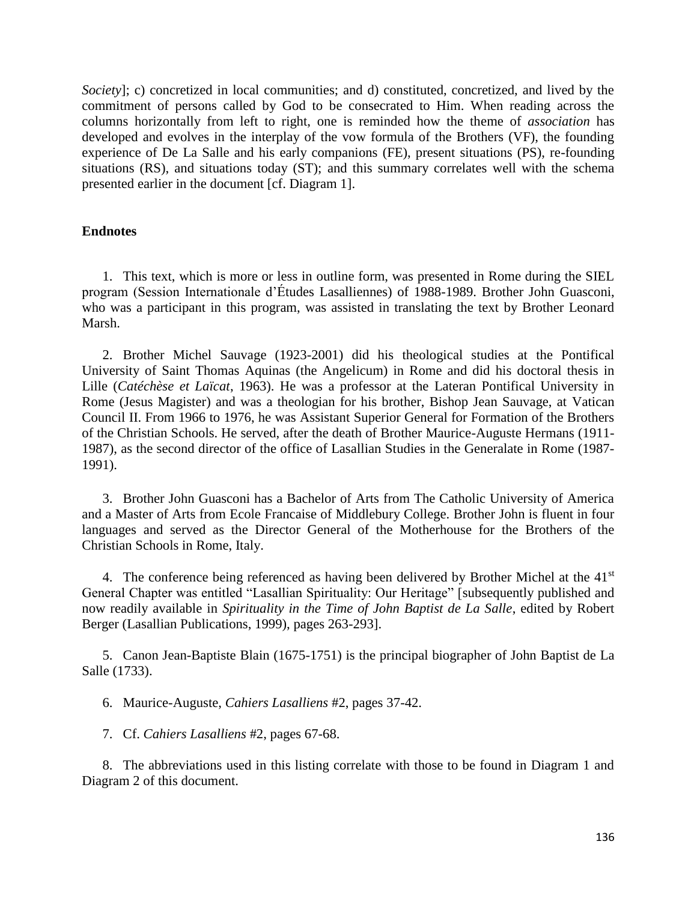*Society*]; c) concretized in local communities; and d) constituted, concretized, and lived by the commitment of persons called by God to be consecrated to Him. When reading across the columns horizontally from left to right, one is reminded how the theme of *association* has developed and evolves in the interplay of the vow formula of the Brothers (VF), the founding experience of De La Salle and his early companions (FE), present situations (PS), re-founding situations (RS), and situations today (ST); and this summary correlates well with the schema presented earlier in the document [cf. Diagram 1].

#### **Endnotes**

1. This text, which is more or less in outline form, was presented in Rome during the SIEL program (Session Internationale d'Études Lasalliennes) of 1988-1989. Brother John Guasconi, who was a participant in this program, was assisted in translating the text by Brother Leonard Marsh.

2. Brother Michel Sauvage (1923-2001) did his theological studies at the Pontifical University of Saint Thomas Aquinas (the Angelicum) in Rome and did his doctoral thesis in Lille (*Catéchèse et Laïcat*, 1963). He was a professor at the Lateran Pontifical University in Rome (Jesus Magister) and was a theologian for his brother, Bishop Jean Sauvage, at Vatican Council II. From 1966 to 1976, he was Assistant Superior General for Formation of the Brothers of the Christian Schools. He served, after the death of Brother Maurice-Auguste Hermans (1911- 1987), as the second director of the office of Lasallian Studies in the Generalate in Rome (1987- 1991).

3. Brother John Guasconi has a Bachelor of Arts from The Catholic University of America and a Master of Arts from Ecole Francaise of Middlebury College. Brother John is fluent in four languages and served as the Director General of the Motherhouse for the Brothers of the Christian Schools in Rome, Italy.

4. The conference being referenced as having been delivered by Brother Michel at the  $41<sup>st</sup>$ General Chapter was entitled "Lasallian Spirituality: Our Heritage" [subsequently published and now readily available in *Spirituality in the Time of John Baptist de La Salle*, edited by Robert Berger (Lasallian Publications, 1999), pages 263-293].

5. Canon Jean-Baptiste Blain (1675-1751) is the principal biographer of John Baptist de La Salle (1733).

6. Maurice-Auguste, *Cahiers Lasalliens* #2, pages 37-42.

7. Cf. *Cahiers Lasalliens* #2, pages 67-68.

8. The abbreviations used in this listing correlate with those to be found in Diagram 1 and Diagram 2 of this document.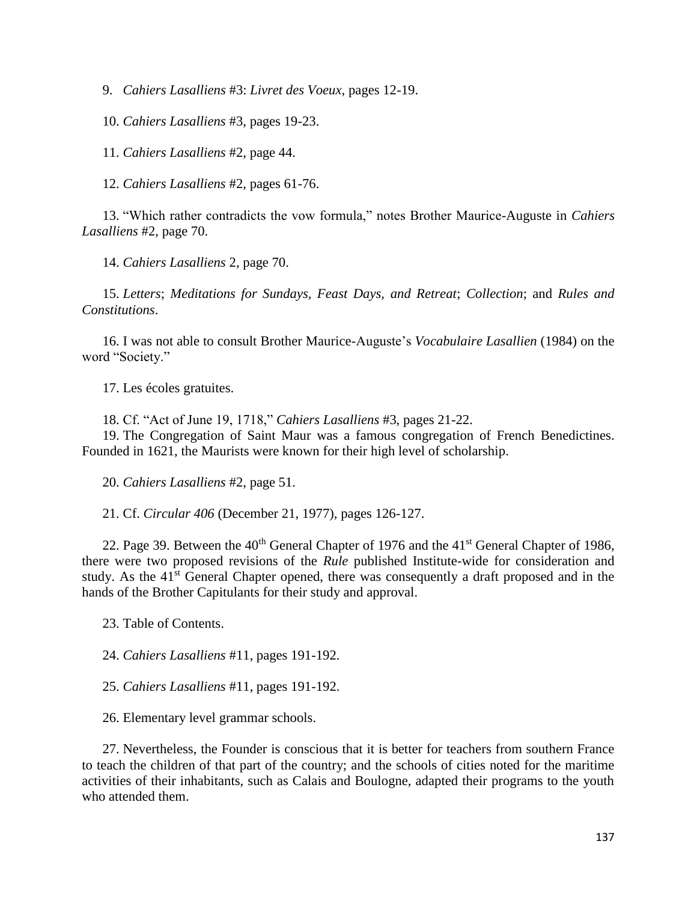9. *Cahiers Lasalliens* #3: *Livret des Voeux*, pages 12-19.

10. *Cahiers Lasalliens* #3, pages 19-23.

11. *Cahiers Lasalliens* #2, page 44.

12. *Cahiers Lasalliens* #2, pages 61-76.

13. "Which rather contradicts the vow formula," notes Brother Maurice-Auguste in *Cahiers Lasalliens* #2, page 70.

14. *Cahiers Lasalliens* 2, page 70.

15. *Letters*; *Meditations for Sundays, Feast Days, and Retreat*; *Collection*; and *Rules and Constitutions*.

16. I was not able to consult Brother Maurice-Auguste's *Vocabulaire Lasallien* (1984) on the word "Society."

17. Les écoles gratuites.

18. Cf. "Act of June 19, 1718," *Cahiers Lasalliens* #3, pages 21-22.

19. The Congregation of Saint Maur was a famous congregation of French Benedictines. Founded in 1621, the Maurists were known for their high level of scholarship.

20. *Cahiers Lasalliens* #2, page 51.

21. Cf. *Circular 406* (December 21, 1977), pages 126-127.

22. Page 39. Between the  $40^{th}$  General Chapter of 1976 and the  $41^{st}$  General Chapter of 1986, there were two proposed revisions of the *Rule* published Institute-wide for consideration and study. As the 41<sup>st</sup> General Chapter opened, there was consequently a draft proposed and in the hands of the Brother Capitulants for their study and approval.

23. Table of Contents.

24. *Cahiers Lasalliens* #11, pages 191-192.

25. *Cahiers Lasalliens* #11, pages 191-192.

26. Elementary level grammar schools.

27. Nevertheless, the Founder is conscious that it is better for teachers from southern France to teach the children of that part of the country; and the schools of cities noted for the maritime activities of their inhabitants, such as Calais and Boulogne, adapted their programs to the youth who attended them.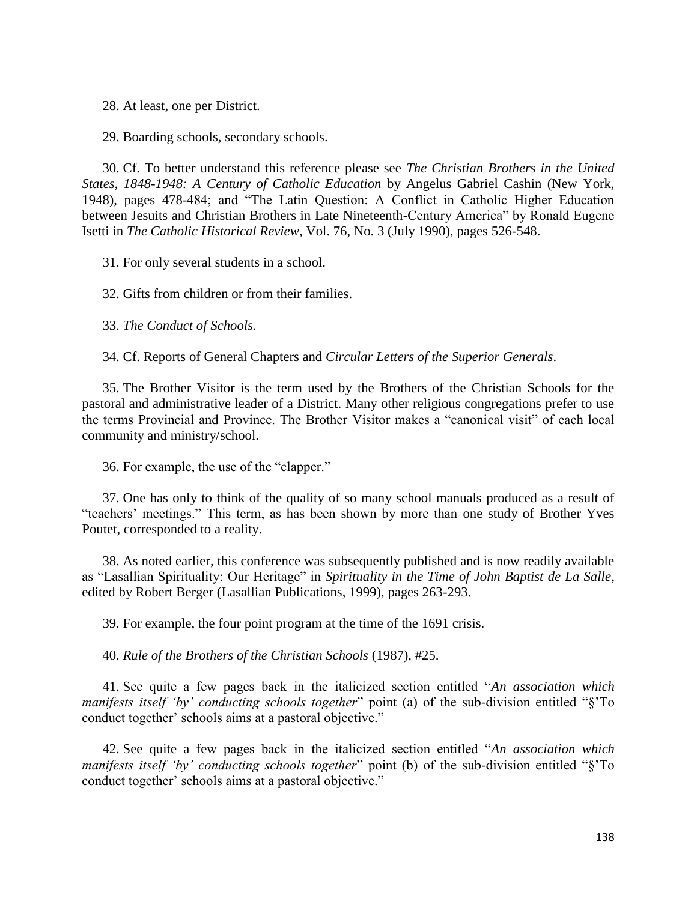28. At least, one per District.

29. Boarding schools, secondary schools.

30. Cf. To better understand this reference please see *The Christian Brothers in the United States, 1848-1948: A Century of Catholic Education* by Angelus Gabriel Cashin (New York, 1948), pages 478-484; and "The Latin Question: A Conflict in Catholic Higher Education between Jesuits and Christian Brothers in Late Nineteenth-Century America" by Ronald Eugene Isetti in *The Catholic Historical Review*, Vol. 76, No. 3 (July 1990), pages 526-548.

31. For only several students in a school.

32. Gifts from children or from their families.

33. *The Conduct of Schools.*

34. Cf. Reports of General Chapters and *Circular Letters of the Superior Generals*.

35. The Brother Visitor is the term used by the Brothers of the Christian Schools for the pastoral and administrative leader of a District. Many other religious congregations prefer to use the terms Provincial and Province. The Brother Visitor makes a "canonical visit" of each local community and ministry/school.

36. For example, the use of the "clapper."

37. One has only to think of the quality of so many school manuals produced as a result of "teachers' meetings." This term, as has been shown by more than one study of Brother Yves Poutet, corresponded to a reality.

38. As noted earlier, this conference was subsequently published and is now readily available as "Lasallian Spirituality: Our Heritage" in *Spirituality in the Time of John Baptist de La Salle*, edited by Robert Berger (Lasallian Publications, 1999), pages 263-293.

39. For example, the four point program at the time of the 1691 crisis.

40. *Rule of the Brothers of the Christian Schools* (1987), #25.

41. See quite a few pages back in the italicized section entitled "*An association which manifests itself 'by' conducting schools together*" point (a) of the sub-division entitled "§'To conduct together' schools aims at a pastoral objective."

42. See quite a few pages back in the italicized section entitled "*An association which manifests itself 'by' conducting schools together*" point (b) of the sub-division entitled "§'To conduct together' schools aims at a pastoral objective."